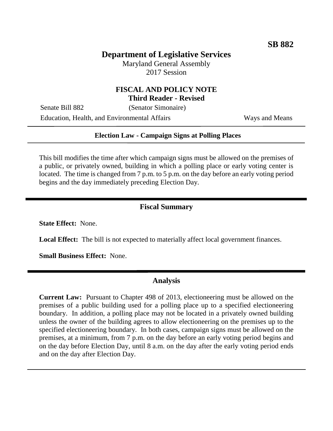# **Department of Legislative Services**

Maryland General Assembly 2017 Session

## **FISCAL AND POLICY NOTE Third Reader - Revised**

Senate Bill 882 (Senator Simonaire)

Education, Health, and Environmental Affairs Ways and Means

### **Election Law - Campaign Signs at Polling Places**

This bill modifies the time after which campaign signs must be allowed on the premises of a public, or privately owned, building in which a polling place or early voting center is located. The time is changed from 7 p.m. to 5 p.m. on the day before an early voting period begins and the day immediately preceding Election Day.

#### **Fiscal Summary**

**State Effect:** None.

Local Effect: The bill is not expected to materially affect local government finances.

**Small Business Effect:** None.

### **Analysis**

**Current Law:** Pursuant to Chapter 498 of 2013, electioneering must be allowed on the premises of a public building used for a polling place up to a specified electioneering boundary. In addition, a polling place may not be located in a privately owned building unless the owner of the building agrees to allow electioneering on the premises up to the specified electioneering boundary. In both cases, campaign signs must be allowed on the premises, at a minimum, from 7 p.m. on the day before an early voting period begins and on the day before Election Day, until 8 a.m. on the day after the early voting period ends and on the day after Election Day.